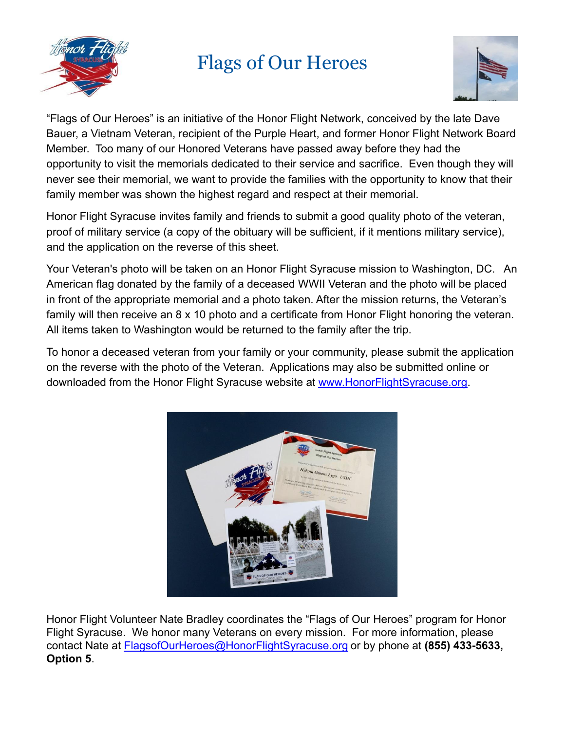

# Flags of Our Heroes



"Flags of Our Heroes" is an initiative of the Honor Flight Network, conceived by the late Dave Bauer, a Vietnam Veteran, recipient of the Purple Heart, and former Honor Flight Network Board Member. Too many of our Honored Veterans have passed away before they had the opportunity to visit the memorials dedicated to their service and sacrifice. Even though they will never see their memorial, we want to provide the families with the opportunity to know that their family member was shown the highest regard and respect at their memorial.

Honor Flight Syracuse invites family and friends to submit a good quality photo of the veteran, proof of military service (a copy of the obituary will be sufficient, if it mentions military service), and the application on the reverse of this sheet.

Your Veteran's photo will be taken on an Honor Flight Syracuse mission to Washington, DC. An American flag donated by the family of a deceased WWII Veteran and the photo will be placed in front of the appropriate memorial and a photo taken. After the mission returns, the Veteran's family will then receive an 8 x 10 photo and a certificate from Honor Flight honoring the veteran. All items taken to Washington would be returned to the family after the trip.

To honor a deceased veteran from your family or your community, please submit the application on the reverse with the photo of the Veteran. Applications may also be submitted online or downloaded from the Honor Flight Syracuse website at [www.HonorFlightSyracuse.org.](http://www.honorflightsyracuse.org)



Honor Flight Volunteer Nate Bradley coordinates the "Flags of Our Heroes" program for Honor Flight Syracuse. We honor many Veterans on every mission. For more information, please contact Nate at [FlagsofOurHeroes@HonorFlightSyracuse.org](mailto:FlagsofOurHeroes@HonorFlightSyracuse.org) or by phone at **(855) 433-5633, Option 5**.